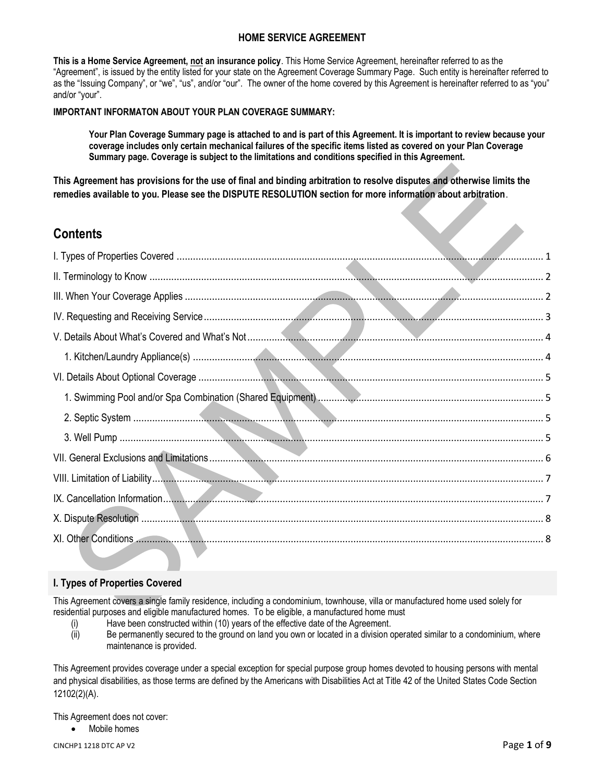# **HOME SERVICE AGREEMENT**

**This is a Home Service Agreement, not an insurance policy**. This Home Service Agreement, hereinafter referred to as the "Agreement", is issued by the entity listed for your state on the Agreement Coverage Summary Page. Such entity is hereinafter referred to as the "Issuing Company", or "we", "us", and/or "our". The owner of the home covered by this Agreement is hereinafter referred to as "you" and/or "your".

#### **IMPORTANT INFORMATON ABOUT YOUR PLAN COVERAGE SUMMARY:**

**Your Plan Coverage Summary page is attached to and is part of this Agreement. It is important to review because your coverage includes only certain mechanical failures of the specific items listed as covered on your Plan Coverage Summary page. Coverage is subject to the limitations and conditions specified in this Agreement.**

**This Agreement has provisions for the use of final and binding arbitration to resolve disputes and otherwise limits the remedies available to you. Please see the DISPUTE RESOLUTION section for more information about arbitration**.

# **Contents**

# <span id="page-0-0"></span>**I. Types of Properties Covered**

This Agreement covers a single family residence, including a condominium, townhouse, villa or manufactured home used solely for residential purposes and eligible manufactured homes. To be eligible, a manufactured home must

- (i) Have been constructed within (10) years of the effective date of the Agreement.
- (ii) Be permanently secured to the ground on land you own or located in a division operated similar to a condominium, where maintenance is provided.

This Agreement provides coverage under a special exception for special purpose group homes devoted to housing persons with mental and physical disabilities, as those terms are defined by the Americans with Disabilities Act at Title 42 of the United States Code Section 12102(2)(A).

This Agreement does not cover:

Mobile homes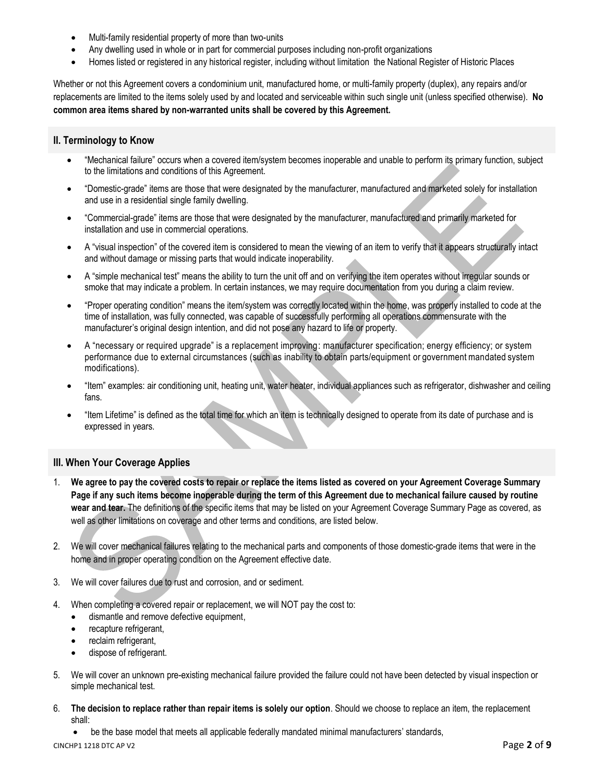- Multi-family residential property of more than two-units
- Any dwelling used in whole or in part for commercial purposes including non-profit organizations
- Homes listed or registered in any historical register, including without limitation the National Register of Historic Places

Whether or not this Agreement covers a condominium unit, manufactured home, or multi-family property (duplex), any repairs and/or replacements are limited to the items solely used by and located and serviceable within such single unit (unless specified otherwise). **No common area items shared by non-warranted units shall be covered by this Agreement.**

#### <span id="page-1-0"></span>**II. Terminology to Know**

- "Mechanical failure" occurs when a covered item/system becomes inoperable and unable to perform its primary function, subject to the limitations and conditions of this Agreement.
- "Domestic-grade" items are those that were designated by the manufacturer, manufactured and marketed solely for installation and use in a residential single family dwelling.
- "Commercial-grade" items are those that were designated by the manufacturer, manufactured and primarily marketed for installation and use in commercial operations.
- A "visual inspection" of the covered item is considered to mean the viewing of an item to verify that it appears structurally intact and without damage or missing parts that would indicate inoperability.
- A "simple mechanical test" means the ability to turn the unit off and on verifying the item operates without irregular sounds or smoke that may indicate a problem. In certain instances, we may require documentation from you during a claim review.
- "Proper operating condition" means the item/system was correctly located within the home, was properly installed to code at the time of installation, was fully connected, was capable of successfully performing all operations commensurate with the manufacturer's original design intention, and did not pose any hazard to life or property.
- A "necessary or required upgrade" is a replacement improving: manufacturer specification; energy efficiency; or system performance due to external circumstances (such as inability to obtain parts/equipment or government mandated system modifications).
- "Item" examples: air conditioning unit, heating unit, water heater, individual appliances such as refrigerator, dishwasher and ceiling fans.
- "Item Lifetime" is defined as the total time for which an item is technically designed to operate from its date of purchase and is expressed in years.

# <span id="page-1-1"></span>**III. When Your Coverage Applies**

- 1. **We agree to pay the covered costs to repair or replace the items listed as covered on your Agreement Coverage Summary Page if any such items become inoperable during the term of this Agreement due to mechanical failure caused by routine wear and tear.** The definitions of the specific items that may be listed on your Agreement Coverage Summary Page as covered, as well as other limitations on coverage and other terms and conditions, are listed below.
- 2. We will cover mechanical failures relating to the mechanical parts and components of those domestic-grade items that were in the home and in proper operating condition on the Agreement effective date.
- 3. We will cover failures due to rust and corrosion, and or sediment.
- 4. When completing a covered repair or replacement, we will NOT pay the cost to:
	- dismantle and remove defective equipment,
	- recapture refrigerant,
	- reclaim refrigerant,
	- dispose of refrigerant.
- 5. We will cover an unknown pre-existing mechanical failure provided the failure could not have been detected by visual inspection or simple mechanical test.
- 6. **The decision to replace rather than repair items is solely our option**. Should we choose to replace an item, the replacement shall:

• be the base model that meets all applicable federally mandated minimal manufacturers' standards,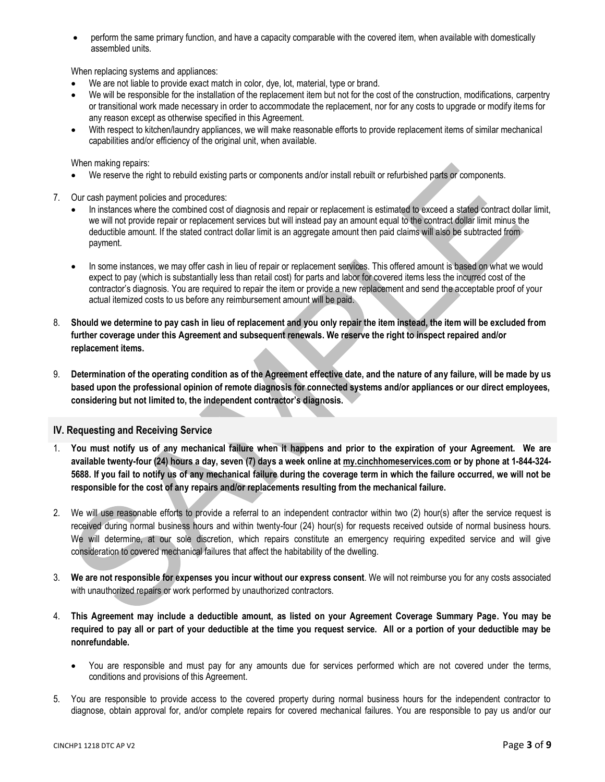• perform the same primary function, and have a capacity comparable with the covered item, when available with domestically assembled units.

When replacing systems and appliances:

- We are not liable to provide exact match in color, dye, lot, material, type or brand.
- We will be responsible for the installation of the replacement item but not for the cost of the construction, modifications, carpentry or transitional work made necessary in order to accommodate the replacement, nor for any costs to upgrade or modify items for any reason except as otherwise specified in this Agreement.
- With respect to kitchen/laundry appliances, we will make reasonable efforts to provide replacement items of similar mechanical capabilities and/or efficiency of the original unit, when available.

When making repairs:

- We reserve the right to rebuild existing parts or components and/or install rebuilt or refurbished parts or components.
- 7. Our cash payment policies and procedures:
	- In instances where the combined cost of diagnosis and repair or replacement is estimated to exceed a stated contract dollar limit, we will not provide repair or replacement services but will instead pay an amount equal to the contract dollar limit minus the deductible amount. If the stated contract dollar limit is an aggregate amount then paid claims will also be subtracted from payment.
	- In some instances, we may offer cash in lieu of repair or replacement services. This offered amount is based on what we would expect to pay (which is substantially less than retail cost) for parts and labor for covered items less the incurred cost of the contractor's diagnosis. You are required to repair the item or provide a new replacement and send the acceptable proof of your actual itemized costs to us before any reimbursement amount will be paid.
- 8. **Should we determine to pay cash in lieu of replacement and you only repair the item instead, the item will be excluded from further coverage under this Agreement and subsequent renewals. We reserve the right to inspect repaired and/or replacement items.**
- 9. **Determination of the operating condition as of the Agreement effective date, and the nature of any failure, will be made by us based upon the professional opinion of remote diagnosis for connected systems and/or appliances or our direct employees, considering but not limited to, the independent contractor's diagnosis.**

# <span id="page-2-0"></span>**IV. Requesting and Receiving Service**

- 1. **You must notify us of any mechanical failure when it happens and prior to the expiration of your Agreement. We are available twenty-four (24) hours a day, seven (7) days a week online at [my.cinchhomeservices.com](http://www.x.com/) or by phone at 1-844-324- 5688. If you fail to notify us of any mechanical failure during the coverage term in which the failure occurred, we will not be responsible for the cost of any repairs and/or replacements resulting from the mechanical failure.**
- 2. We will use reasonable efforts to provide a referral to an independent contractor within two (2) hour(s) after the service request is received during normal business hours and within twenty-four (24) hour(s) for requests received outside of normal business hours. We will determine, at our sole discretion, which repairs constitute an emergency requiring expedited service and will give consideration to covered mechanical failures that affect the habitability of the dwelling.
- 3. **We are not responsible for expenses you incur without our express consent**. We will not reimburse you for any costs associated with unauthorized repairs or work performed by unauthorized contractors.
- 4. **This Agreement may include a deductible amount, as listed on your Agreement Coverage Summary Page. You may be required to pay all or part of your deductible at the time you request service. All or a portion of your deductible may be nonrefundable.** 
	- You are responsible and must pay for any amounts due for services performed which are not covered under the terms, conditions and provisions of this Agreement.
- 5. You are responsible to provide access to the covered property during normal business hours for the independent contractor to diagnose, obtain approval for, and/or complete repairs for covered mechanical failures. You are responsible to pay us and/or our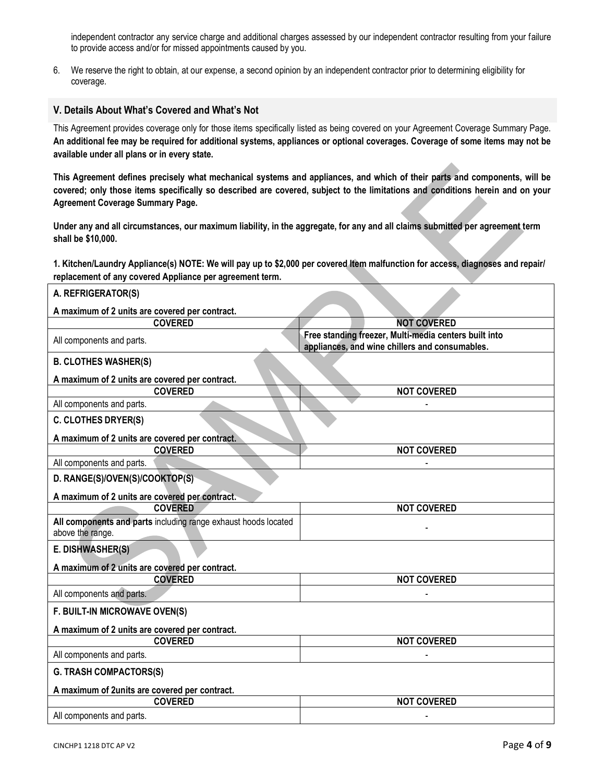independent contractor any service charge and additional charges assessed by our independent contractor resulting from your failure to provide access and/or for missed appointments caused by you.

6. We reserve the right to obtain, at our expense, a second opinion by an independent contractor prior to determining eligibility for coverage.

#### <span id="page-3-0"></span>**V. Details About What's Covered and What's Not**

This Agreement provides coverage only for those items specifically listed as being covered on your Agreement Coverage Summary Page. **An additional fee may be required for additional systems, appliances or optional coverages. Coverage of some items may not be available under all plans or in every state.**

**This Agreement defines precisely what mechanical systems and appliances, and which of their parts and components, will be covered; only those items specifically so described are covered, subject to the limitations and conditions herein and on your Agreement Coverage Summary Page.** 

**Under any and all circumstances, our maximum liability, in the aggregate, for any and all claims submitted per agreement term shall be \$10,000.**

<span id="page-3-1"></span>**1. Kitchen/Laundry Appliance(s) NOTE: We will pay up to \$2,000 per covered Item malfunction for access, diagnoses and repair/ replacement of any covered Appliance per agreement term.**

| A. REFRIGERATOR(S)                                                                 |                                                                                                         |  |
|------------------------------------------------------------------------------------|---------------------------------------------------------------------------------------------------------|--|
| A maximum of 2 units are covered per contract.                                     |                                                                                                         |  |
| <b>COVERED</b>                                                                     | <b>NOT COVERED</b>                                                                                      |  |
| All components and parts.                                                          | Free standing freezer, Multi-media centers built into<br>appliances, and wine chillers and consumables. |  |
| <b>B. CLOTHES WASHER(S)</b>                                                        |                                                                                                         |  |
| A maximum of 2 units are covered per contract.                                     |                                                                                                         |  |
| <b>COVERED</b>                                                                     | <b>NOT COVERED</b>                                                                                      |  |
| All components and parts.                                                          |                                                                                                         |  |
| <b>C. CLOTHES DRYER(S)</b>                                                         |                                                                                                         |  |
| A maximum of 2 units are covered per contract.                                     |                                                                                                         |  |
| <b>COVERED</b>                                                                     | <b>NOT COVERED</b>                                                                                      |  |
| All components and parts.                                                          |                                                                                                         |  |
| D. RANGE(S)/OVEN(S)/COOKTOP(S)                                                     |                                                                                                         |  |
| A maximum of 2 units are covered per contract.                                     |                                                                                                         |  |
| <b>COVERED</b>                                                                     | <b>NOT COVERED</b>                                                                                      |  |
| All components and parts including range exhaust hoods located<br>above the range. |                                                                                                         |  |
| E. DISHWASHER(S)                                                                   |                                                                                                         |  |
| A maximum of 2 units are covered per contract.                                     |                                                                                                         |  |
| <b>COVERED</b>                                                                     | <b>NOT COVERED</b>                                                                                      |  |
| All components and parts.                                                          |                                                                                                         |  |
| F. BUILT-IN MICROWAVE OVEN(S)                                                      |                                                                                                         |  |
| A maximum of 2 units are covered per contract.                                     |                                                                                                         |  |
| <b>COVERED</b>                                                                     | <b>NOT COVERED</b>                                                                                      |  |
| All components and parts.                                                          |                                                                                                         |  |
| <b>G. TRASH COMPACTORS(S)</b>                                                      |                                                                                                         |  |
| A maximum of 2units are covered per contract.                                      |                                                                                                         |  |
| <b>COVERED</b>                                                                     | <b>NOT COVERED</b>                                                                                      |  |
| All components and parts.                                                          |                                                                                                         |  |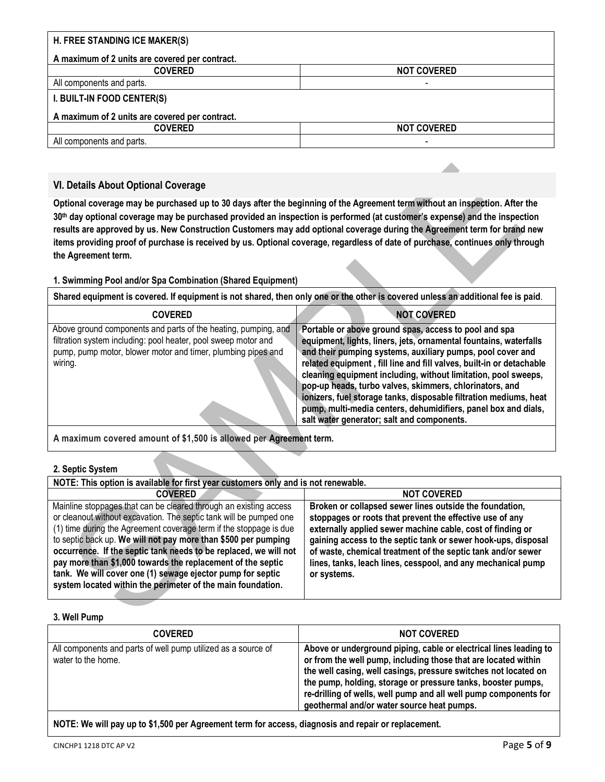| H. FREE STANDING ICE MAKER(S)                  |                          |  |
|------------------------------------------------|--------------------------|--|
| A maximum of 2 units are covered per contract. |                          |  |
| <b>COVERED</b>                                 | <b>NOT COVERED</b>       |  |
| All components and parts.                      | $\overline{\phantom{a}}$ |  |
| I. BUILT-IN FOOD CENTER(S)                     |                          |  |
| A maximum of 2 units are covered per contract. |                          |  |
| <b>COVERED</b>                                 | <b>NOT COVERED</b>       |  |
| All components and parts.                      | $\overline{\phantom{a}}$ |  |

# <span id="page-4-0"></span>**VI. Details About Optional Coverage**

**Optional coverage may be purchased up to 30 days after the beginning of the Agreement term without an inspection. After the 30th day optional coverage may be purchased provided an inspection is performed (at customer's expense) and the inspection results are approved by us. New Construction Customers may add optional coverage during the Agreement term for brand new items providing proof of purchase is received by us. Optional coverage, regardless of date of purchase, continues only through the Agreement term.**

# <span id="page-4-1"></span>**1. Swimming Pool and/or Spa Combination (Shared Equipment)**

**Shared equipment is covered. If equipment is not shared, then only one or the other is covered unless an additional fee is paid**.

| <b>COVERED</b>                                                                                                                                                                                              | <b>NOT COVERED</b>                                                                                                                                                                                                                                                                                                                                                                                                                                                                                                                                                                 |
|-------------------------------------------------------------------------------------------------------------------------------------------------------------------------------------------------------------|------------------------------------------------------------------------------------------------------------------------------------------------------------------------------------------------------------------------------------------------------------------------------------------------------------------------------------------------------------------------------------------------------------------------------------------------------------------------------------------------------------------------------------------------------------------------------------|
| Above ground components and parts of the heating, pumping, and<br>filtration system including: pool heater, pool sweep motor and<br>pump, pump motor, blower motor and timer, plumbing pipes and<br>wiring. | Portable or above ground spas, access to pool and spa<br>equipment, lights, liners, jets, ornamental fountains, waterfalls<br>and their pumping systems, auxiliary pumps, pool cover and<br>related equipment, fill line and fill valves, built-in or detachable<br>cleaning equipment including, without limitation, pool sweeps,<br>pop-up heads, turbo valves, skimmers, chlorinators, and<br>ionizers, fuel storage tanks, disposable filtration mediums, heat<br>pump, multi-media centers, dehumidifiers, panel box and dials,<br>salt water generator; salt and components. |

**A maximum covered amount of \$1,500 is allowed per Agreement term.**

#### <span id="page-4-2"></span>**2. Septic System**

| NOTE: This option is available for first year customers only and is not renewable.                                                                                                                                                                                                                                                                                                                                                                                                                                                              |                                                                                                                                                                                                                                                                                                                                                                                                   |  |
|-------------------------------------------------------------------------------------------------------------------------------------------------------------------------------------------------------------------------------------------------------------------------------------------------------------------------------------------------------------------------------------------------------------------------------------------------------------------------------------------------------------------------------------------------|---------------------------------------------------------------------------------------------------------------------------------------------------------------------------------------------------------------------------------------------------------------------------------------------------------------------------------------------------------------------------------------------------|--|
| <b>COVERED</b>                                                                                                                                                                                                                                                                                                                                                                                                                                                                                                                                  | <b>NOT COVERED</b>                                                                                                                                                                                                                                                                                                                                                                                |  |
| Mainline stoppages that can be cleared through an existing access<br>or cleanout without excavation. The septic tank will be pumped one<br>(1) time during the Agreement coverage term if the stoppage is due<br>to septic back up. We will not pay more than \$500 per pumping<br>occurrence. If the septic tank needs to be replaced, we will not<br>pay more than \$1,000 towards the replacement of the septic<br>tank. We will cover one (1) sewage ejector pump for septic<br>system located within the perimeter of the main foundation. | Broken or collapsed sewer lines outside the foundation,<br>stoppages or roots that prevent the effective use of any<br>externally applied sewer machine cable, cost of finding or<br>gaining access to the septic tank or sewer hook-ups, disposal<br>of waste, chemical treatment of the septic tank and/or sewer<br>lines, tanks, leach lines, cesspool, and any mechanical pump<br>or systems. |  |

# <span id="page-4-3"></span>**3. Well Pump**

| <b>COVERED</b>                                                                      | <b>NOT COVERED</b>                                                                                                                                                                                                                                                                                                                                                                       |
|-------------------------------------------------------------------------------------|------------------------------------------------------------------------------------------------------------------------------------------------------------------------------------------------------------------------------------------------------------------------------------------------------------------------------------------------------------------------------------------|
| All components and parts of well pump utilized as a source of<br>water to the home. | Above or underground piping, cable or electrical lines leading to<br>or from the well pump, including those that are located within<br>the well casing, well casings, pressure switches not located on<br>the pump, holding, storage or pressure tanks, booster pumps,<br>re-drilling of wells, well pump and all well pump components for<br>geothermal and/or water source heat pumps. |
|                                                                                     |                                                                                                                                                                                                                                                                                                                                                                                          |

**NOTE: We will pay up to \$1,500 per Agreement term for access, diagnosis and repair or replacement.**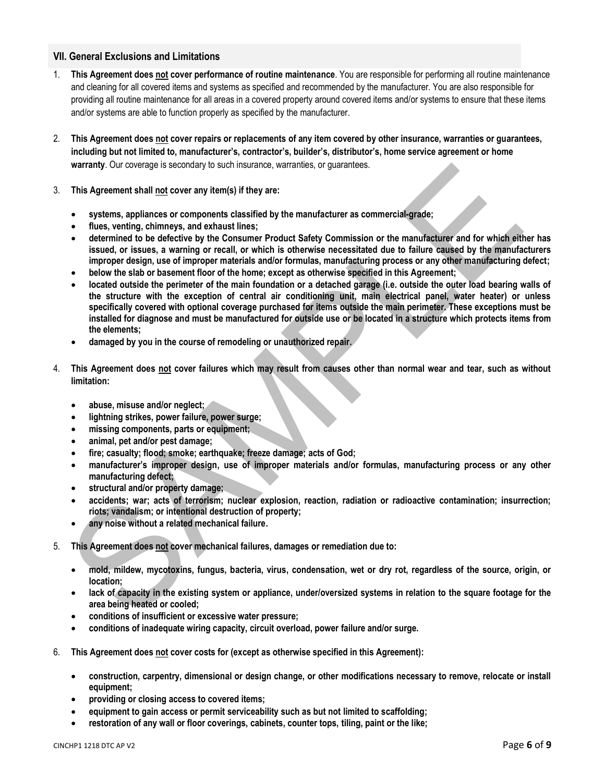#### <span id="page-5-0"></span>**VII. General Exclusions and Limitations**

- 1. **This Agreement does not cover performance of routine maintenance**. You are responsible for performing all routine maintenance and cleaning for all covered items and systems as specified and recommended by the manufacturer. You are also responsible for providing all routine maintenance for all areas in a covered property around covered items and/or systems to ensure that these items and/or systems are able to function properly as specified by the manufacturer.
- 2. **This Agreement does not cover repairs or replacements of any item covered by other insurance, warranties or guarantees, including but not limited to, manufacturer's, contractor's, builder's, distributor's, home service agreement or home warranty**. Our coverage is secondary to such insurance, warranties, or guarantees.
- 3. **This Agreement shall not cover any item(s) if they are:** 
	- **systems, appliances or components classified by the manufacturer as commercial-grade;**
	- **flues, venting, chimneys, and exhaust lines;**
	- **determined to be defective by the Consumer Product Safety Commission or the manufacturer and for which either has issued, or issues, a warning or recall, or which is otherwise necessitated due to failure caused by the manufacturers improper design, use of improper materials and/or formulas, manufacturing process or any other manufacturing defect;**
	- **below the slab or basement floor of the home; except as otherwise specified in this Agreement;**
	- **located outside the perimeter of the main foundation or a detached garage (i.e. outside the outer load bearing walls of the structure with the exception of central air conditioning unit, main electrical panel, water heater) or unless specifically covered with optional coverage purchased for items outside the main perimeter. These exceptions must be installed for diagnose and must be manufactured for outside use or be located in a structure which protects items from the elements;**
	- **damaged by you in the course of remodeling or unauthorized repair.**
- 4. **This Agreement does not cover failures which may result from causes other than normal wear and tear, such as without limitation:** 
	- **abuse, misuse and/or neglect;**
	- **lightning strikes, power failure, power surge;**
	- **missing components, parts or equipment;**
	- **animal, pet and/or pest damage;**
	- **fire; casualty; flood; smoke; earthquake; freeze damage; acts of God;**
	- **manufacturer's improper design, use of improper materials and/or formulas, manufacturing process or any other manufacturing defect;**
	- **structural and/or property damage;**
	- **accidents; war; acts of terrorism; nuclear explosion, reaction, radiation or radioactive contamination; insurrection; riots; vandalism; or intentional destruction of property;**
	- **any noise without a related mechanical failure.**
- 5. **This Agreement does not cover mechanical failures, damages or remediation due to:**
	- **mold, mildew, mycotoxins, fungus, bacteria, virus, condensation, wet or dry rot, regardless of the source, origin, or location;**
	- **lack of capacity in the existing system or appliance, under/oversized systems in relation to the square footage for the area being heated or cooled;**
	- **conditions of insufficient or excessive water pressure;**
	- **conditions of inadequate wiring capacity, circuit overload, power failure and/or surge.**
- 6. **This Agreement does not cover costs for (except as otherwise specified in this Agreement):**
	- **construction, carpentry, dimensional or design change, or other modifications necessary to remove, relocate or install equipment;**
	- **providing or closing access to covered items;**
	- **equipment to gain access or permit serviceability such as but not limited to scaffolding;**
	- **restoration of any wall or floor coverings, cabinets, counter tops, tiling, paint or the like;**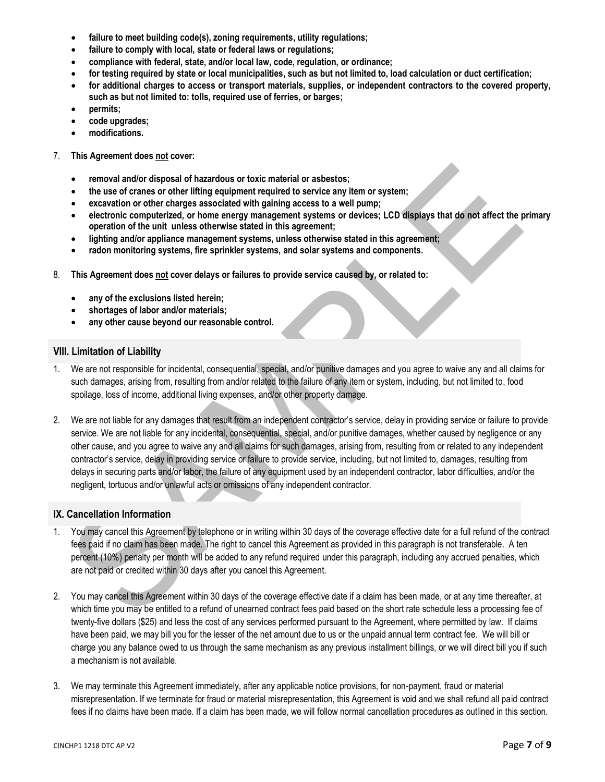- **failure to meet building code(s), zoning requirements, utility regulations;**
- **failure to comply with local, state or federal laws or regulations;**
- **compliance with federal, state, and/or local law, code, regulation, or ordinance;**
- **for testing required by state or local municipalities, such as but not limited to, load calculation or duct certification;**
- **for additional charges to access or transport materials, supplies, or independent contractors to the covered property, such as but not limited to: tolls, required use of ferries, or barges;**
- **permits;**
- **code upgrades;**
- **modifications.**
- 7. **This Agreement does not cover:** 
	- **removal and/or disposal of hazardous or toxic material or asbestos;**
	- **the use of cranes or other lifting equipment required to service any item or system;**
	- **excavation or other charges associated with gaining access to a well pump;**
	- **electronic computerized, or home energy management systems or devices; LCD displays that do not affect the primary operation of the unit unless otherwise stated in this agreement;**
	- **lighting and/or appliance management systems, unless otherwise stated in this agreement;**
	- **radon monitoring systems, fire sprinkler systems, and solar systems and components.**
- 8. **This Agreement does not cover delays or failures to provide service caused by, or related to:** 
	- **any of the exclusions listed herein;**
	- **shortages of labor and/or materials;**
	- **any other cause beyond our reasonable control.**

#### <span id="page-6-0"></span>**VIII. Limitation of Liability**

- 1. We are not responsible for incidental, consequential, special, and/or punitive damages and you agree to waive any and all claims for such damages, arising from, resulting from and/or related to the failure of any item or system, including, but not limited to, food spoilage, loss of income, additional living expenses, and/or other property damage.
- 2. We are not liable for any damages that result from an independent contractor's service, delay in providing service or failure to provide service. We are not liable for any incidental, consequential, special, and/or punitive damages, whether caused by negligence or any other cause, and you agree to waive any and all claims for such damages, arising from, resulting from or related to any independent contractor's service, delay in providing service or failure to provide service, including, but not limited to, damages, resulting from delays in securing parts and/or labor, the failure of any equipment used by an independent contractor, labor difficulties, and/or the negligent, tortuous and/or unlawful acts or omissions of any independent contractor.

# <span id="page-6-1"></span>**IX. Cancellation Information**

- 1. You may cancel this Agreement by telephone or in writing within 30 days of the coverage effective date for a full refund of the contract fees paid if no claim has been made. The right to cancel this Agreement as provided in this paragraph is not transferable. A ten percent (10%) penalty per month will be added to any refund required under this paragraph, including any accrued penalties, which are not paid or credited within 30 days after you cancel this Agreement.
- 2. You may cancel this Agreement within 30 days of the coverage effective date if a claim has been made, or at any time thereafter, at which time you may be entitled to a refund of unearned contract fees paid based on the short rate schedule less a processing fee of twenty-five dollars (\$25) and less the cost of any services performed pursuant to the Agreement, where permitted by law. If claims have been paid, we may bill you for the lesser of the net amount due to us or the unpaid annual term contract fee. We will bill or charge you any balance owed to us through the same mechanism as any previous installment billings, or we will direct bill you if such a mechanism is not available.
- 3. We may terminate this Agreement immediately, after any applicable notice provisions, for non-payment, fraud or material misrepresentation. If we terminate for fraud or material misrepresentation, this Agreement is void and we shall refund all paid contract fees if no claims have been made. If a claim has been made, we will follow normal cancellation procedures as outlined in this section.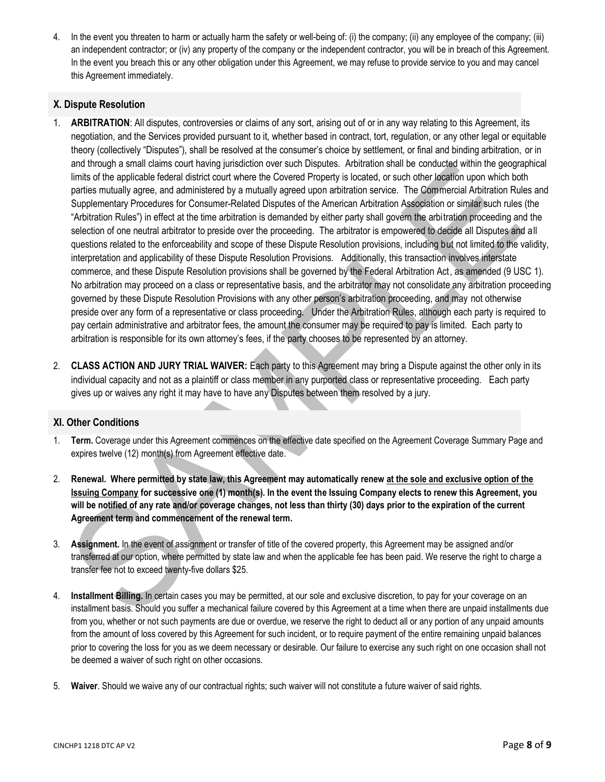4. In the event you threaten to harm or actually harm the safety or well-being of: (i) the company; (ii) any employee of the company; (iii) an independent contractor; or (iv) any property of the company or the independent contractor, you will be in breach of this Agreement. In the event you breach this or any other obligation under this Agreement, we may refuse to provide service to you and may cancel this Agreement immediately.

#### <span id="page-7-0"></span>**X. Dispute Resolution**

- 1. **ARBITRATION**: All disputes, controversies or claims of any sort, arising out of or in any way relating to this Agreement, its negotiation, and the Services provided pursuant to it, whether based in contract, tort, regulation, or any other legal or equitable theory (collectively "Disputes"), shall be resolved at the consumer's choice by settlement, or final and binding arbitration, or in and through a small claims court having jurisdiction over such Disputes. Arbitration shall be conducted within the geographical limits of the applicable federal district court where the Covered Property is located, or such other location upon which both parties mutually agree, and administered by a mutually agreed upon arbitration service. The Commercial Arbitration Rules and Supplementary Procedures for Consumer-Related Disputes of the American Arbitration Association or similar such rules (the "Arbitration Rules") in effect at the time arbitration is demanded by either party shall govern the arbitration proceeding and the selection of one neutral arbitrator to preside over the proceeding. The arbitrator is empowered to decide all Disputes and all questions related to the enforceability and scope of these Dispute Resolution provisions, including but not limited to the validity, interpretation and applicability of these Dispute Resolution Provisions. Additionally, this transaction involves interstate commerce, and these Dispute Resolution provisions shall be governed by the Federal Arbitration Act, as amended (9 USC 1). No arbitration may proceed on a class or representative basis, and the arbitrator may not consolidate any arbitration proceeding governed by these Dispute Resolution Provisions with any other person's arbitration proceeding, and may not otherwise preside over any form of a representative or class proceeding. Under the Arbitration Rules, although each party is required to pay certain administrative and arbitrator fees, the amount the consumer may be required to pay is limited. Each party to arbitration is responsible for its own attorney's fees, if the party chooses to be represented by an attorney.
- 2. **CLASS ACTION AND JURY TRIAL WAIVER:** Each party to this Agreement may bring a Dispute against the other only in its individual capacity and not as a plaintiff or class member in any purported class or representative proceeding. Each party gives up or waives any right it may have to have any Disputes between them resolved by a jury.

#### <span id="page-7-1"></span>**XI. Other Conditions**

- 1. **Term.** Coverage under this Agreement commences on the effective date specified on the Agreement Coverage Summary Page and expires twelve (12) month(s) from Agreement effective date.
- 2. **Renewal. Where permitted by state law, this Agreement may automatically renew at the sole and exclusive option of the Issuing Company for successive one (1) month(s). In the event the Issuing Company elects to renew this Agreement, you will be notified of any rate and/or coverage changes, not less than thirty (30) days prior to the expiration of the current Agreement term and commencement of the renewal term.**
- 3. **Assignment.** In the event of assignment or transfer of title of the covered property, this Agreement may be assigned and/or transferred at our option, where permitted by state law and when the applicable fee has been paid. We reserve the right to charge a transfer fee not to exceed twenty-five dollars \$25.
- 4. **Installment Billing.** In certain cases you may be permitted, at our sole and exclusive discretion, to pay for your coverage on an installment basis. Should you suffer a mechanical failure covered by this Agreement at a time when there are unpaid installments due from you, whether or not such payments are due or overdue, we reserve the right to deduct all or any portion of any unpaid amounts from the amount of loss covered by this Agreement for such incident, or to require payment of the entire remaining unpaid balances prior to covering the loss for you as we deem necessary or desirable. Our failure to exercise any such right on one occasion shall not be deemed a waiver of such right on other occasions.
- 5. **Waiver**. Should we waive any of our contractual rights; such waiver will not constitute a future waiver of said rights.